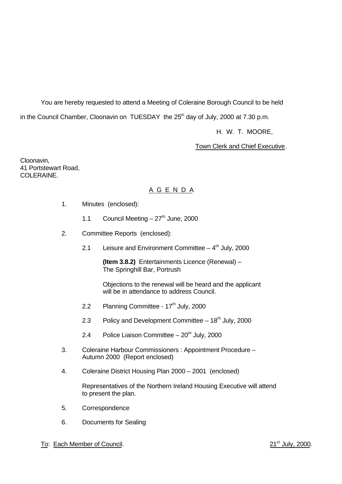You are hereby requested to attend a Meeting of Coleraine Borough Council to be held

in the Council Chamber, Cloonavin on TUESDAY the 25<sup>th</sup> day of July, 2000 at 7.30 p.m.

H. W. T. MOORE,

### Town Clerk and Chief Executive.

Cloonavin, 41 Portstewart Road, COLERAINE.

# A G E N D A

- 1. Minutes (enclosed):
	- 1.1 Council Meeting  $-27<sup>th</sup>$  June, 2000
- 2. Committee Reports (enclosed):
	- 2.1 Leisure and Environment Committee  $-4<sup>th</sup>$  July, 2000

**(Item 3.8.2)** Entertainments Licence (Renewal) – The Springhill Bar, Portrush

Objections to the renewal will be heard and the applicant will be in attendance to address Council.

- 2.2 Planning Committee 17<sup>th</sup> July, 2000
- 2.3 Policy and Development Committee  $-18<sup>th</sup>$  July, 2000
- 2.4 Police Liaison Committee  $-20^{th}$  July, 2000
- 3. Coleraine Harbour Commissioners : Appointment Procedure Autumn 2000 (Report enclosed)
- 4. Coleraine District Housing Plan 2000 2001 (enclosed)

Representatives of the Northern Ireland Housing Executive will attend to present the plan.

- 5. Correspondence
- 6. Documents for Sealing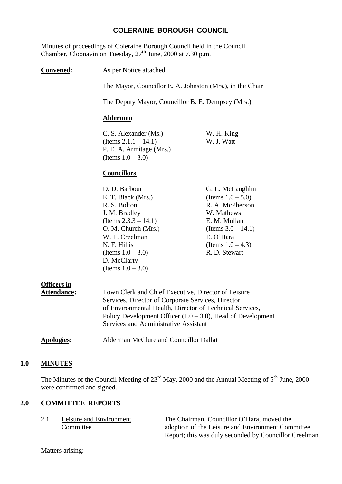#### **COLERAINE BOROUGH COUNCIL**

Minutes of proceedings of Coleraine Borough Council held in the Council Chamber, Cloonavin on Tuesday,  $27<sup>th</sup>$  June, 2000 at 7.30 p.m.

**Convened:** As per Notice attached

The Mayor, Councillor E. A. Johnston (Mrs.), in the Chair

The Deputy Mayor, Councillor B. E. Dempsey (Mrs.)

#### **Aldermen**

C. S. Alexander (Ms.) W. H. King (Items  $2.1.1 - 14.1$ ) W. J. Watt P. E. A. Armitage (Mrs.) (Items  $1.0 - 3.0$ )

#### **Councillors**

| G. L. McLaughlin      |
|-----------------------|
| (Items $1.0 - 5.0$ )  |
| R. A. McPherson       |
| W. Mathews            |
| E. M. Mullan          |
| (Items $3.0 - 14.1$ ) |
| E. O'Hara             |
| (Items $1.0 - 4.3$ )  |
| R. D. Stewart         |
|                       |
|                       |
|                       |

# **Officers in**

| Attendance: | Town Clerk and Chief Executive, Director of Leisure            |
|-------------|----------------------------------------------------------------|
|             | Services, Director of Corporate Services, Director             |
|             | of Environmental Health, Director of Technical Services,       |
|             | Policy Development Officer $(1.0 - 3.0)$ , Head of Development |
|             | Services and Administrative Assistant                          |
|             |                                                                |

#### **Apologies:** Alderman McClure and Councillor Dallat

#### **1.0 MINUTES**

The Minutes of the Council Meeting of 23<sup>rd</sup> May, 2000 and the Annual Meeting of 5<sup>th</sup> June, 2000 were confirmed and signed.

#### **2.0 COMMITTEE REPORTS**

| Leisure and Environment | The Chairman, Councillor O'Hara, moved the             |
|-------------------------|--------------------------------------------------------|
| Committee               | adoption of the Leisure and Environment Committee      |
|                         | Report; this was duly seconded by Councillor Creelman. |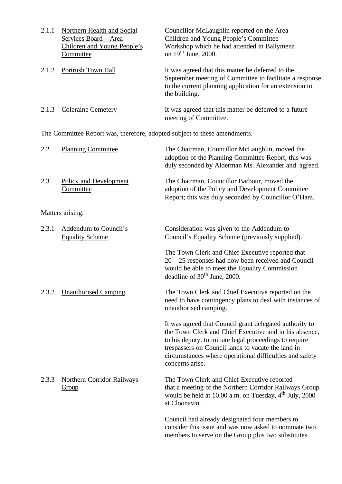| 2.1.1 | Northern Health and Social                                                | Councillor McLaughlin reported on the Area                                                                                                                                               |
|-------|---------------------------------------------------------------------------|------------------------------------------------------------------------------------------------------------------------------------------------------------------------------------------|
|       | Services Board – Area                                                     | Children and Young People's Committee                                                                                                                                                    |
|       | Children and Young People's                                               | Workshop which he had attended in Ballymena                                                                                                                                              |
|       | Committee                                                                 | on $19th$ June, 2000.                                                                                                                                                                    |
| 2.1.2 | Portrush Town Hall                                                        | It was agreed that this matter be deferred to the<br>September meeting of Committee to facilitate a response<br>to the current planning application for an extension to<br>the building. |
| 2.1.3 | <b>Coleraine Cemetery</b>                                                 | It was agreed that this matter be deferred to a future<br>meeting of Committee.                                                                                                          |
|       | The Committee Report was, therefore, adopted subject to these amendments. |                                                                                                                                                                                          |

| 2.2   | <b>Planning Committee</b>                              | The Chairman, Councillor McLaughlin, moved the<br>adoption of the Planning Committee Report; this was<br>duly seconded by Alderman Ms. Alexander and agreed.                                                                                                                                                     |
|-------|--------------------------------------------------------|------------------------------------------------------------------------------------------------------------------------------------------------------------------------------------------------------------------------------------------------------------------------------------------------------------------|
| 2.3   | <b>Policy and Development</b><br>Committee             | The Chairman, Councillor Barbour, moved the<br>adoption of the Policy and Development Committee<br>Report; this was duly seconded by Councillor O'Hara.                                                                                                                                                          |
|       | Matters arising:                                       |                                                                                                                                                                                                                                                                                                                  |
| 2.3.1 | <b>Addendum to Council's</b><br><b>Equality Scheme</b> | Consideration was given to the Addendum to<br>Council's Equality Scheme (previously supplied).                                                                                                                                                                                                                   |
|       |                                                        | The Town Clerk and Chief Executive reported that<br>$20 - 25$ responses had now been received and Council<br>would be able to meet the Equality Commission<br>deadline of $30th$ June, 2000.                                                                                                                     |
| 2.3.2 | <b>Unauthorised Camping</b>                            | The Town Clerk and Chief Executive reported on the<br>need to have contingency plans to deal with instances of<br>unauthorised camping.                                                                                                                                                                          |
|       |                                                        | It was agreed that Council grant delegated authority to<br>the Town Clerk and Chief Executive and in his absence,<br>to his deputy, to initiate legal proceedings to require<br>trespassers on Council lands to vacate the land in<br>circumstances where operational difficulties and safety<br>concerns arise. |
| 2.3.3 | <b>Northern Corridor Railways</b><br>Group             | The Town Clerk and Chief Executive reported<br>that a meeting of the Northern Corridor Railways Group<br>would be held at 10.00 a.m. on Tuesday, $4^{\text{th}}$ July, 2000<br>at Cloonavin.                                                                                                                     |
|       |                                                        | Council had already designated four members to<br>consider this issue and was now asked to nominate two                                                                                                                                                                                                          |

members to serve on the Group plus two substitutes.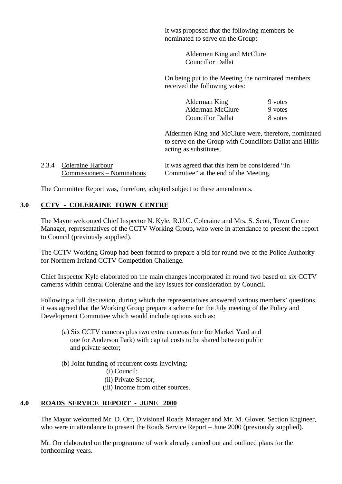It was proposed that the following members be nominated to serve on the Group:

> Aldermen King and McClure Councillor Dallat

On being put to the Meeting the nominated members received the following votes:

> Alderman King 9 votes Alderman McClure 9 votes Councillor Dallat 8 votes

Aldermen King and McClure were, therefore, nominated to serve on the Group with Councillors Dallat and Hillis acting as substitutes.

| 2.3.4 Coleraine Harbour     | It was agreed that this item be considered "In |
|-----------------------------|------------------------------------------------|
| Commissioners – Nominations | Committee" at the end of the Meeting.          |

The Committee Report was, therefore, adopted subject to these amendments.

#### **3.0 CCTV - COLERAINE TOWN CENTRE**

The Mayor welcomed Chief Inspector N. Kyle, R.U.C. Coleraine and Mrs. S. Scott, Town Centre Manager, representatives of the CCTV Working Group, who were in attendance to present the report to Council (previously supplied).

The CCTV Working Group had been formed to prepare a bid for round two of the Police Authority for Northern Ireland CCTV Competition Challenge.

Chief Inspector Kyle elaborated on the main changes incorporated in round two based on six CCTV cameras within central Coleraine and the key issues for consideration by Council.

Following a full discussion, during which the representatives answered various members' questions, it was agreed that the Working Group prepare a scheme for the July meeting of the Policy and Development Committee which would include options such as:

(a) Six CCTV cameras plus two extra cameras (one for Market Yard and one for Anderson Park) with capital costs to be shared between public and private sector;

(b) Joint funding of recurrent costs involving:

- (i) Council;
- (ii) Private Sector;
- (iii) Income from other sources.

#### **4.0 ROADS SERVICE REPORT - JUNE 2000**

The Mayor welcomed Mr. D. Orr, Divisional Roads Manager and Mr. M. Glover, Section Engineer, who were in attendance to present the Roads Service Report – June 2000 (previously supplied).

Mr. Orr elaborated on the programme of work already carried out and outlined plans for the forthcoming years.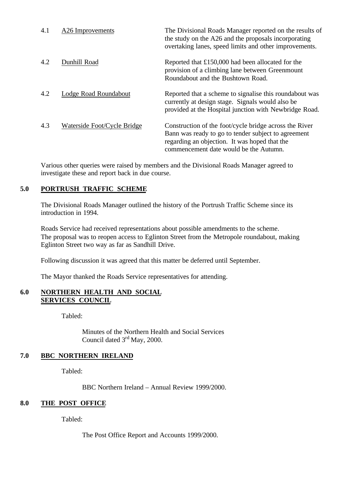| 4.1 | A <sub>26</sub> Improvements | The Divisional Roads Manager reported on the results of<br>the study on the A26 and the proposals incorporating<br>overtaking lanes, speed limits and other improvements.                                |
|-----|------------------------------|----------------------------------------------------------------------------------------------------------------------------------------------------------------------------------------------------------|
| 4.2 | Dunhill Road                 | Reported that £150,000 had been allocated for the<br>provision of a climbing lane between Greenmount<br>Roundabout and the Bushtown Road.                                                                |
| 4.2 | Lodge Road Roundabout        | Reported that a scheme to signalise this roundabout was<br>currently at design stage. Signals would also be<br>provided at the Hospital junction with Newbridge Road.                                    |
| 4.3 | Waterside Foot/Cycle Bridge  | Construction of the foot/cycle bridge across the River<br>Bann was ready to go to tender subject to agreement<br>regarding an objection. It was hoped that the<br>commencement date would be the Autumn. |

Various other queries were raised by members and the Divisional Roads Manager agreed to investigate these and report back in due course.

### **5.0 PORTRUSH TRAFFIC SCHEME**

The Divisional Roads Manager outlined the history of the Portrush Traffic Scheme since its introduction in 1994.

Roads Service had received representations about possible amendments to the scheme. The proposal was to reopen access to Eglinton Street from the Metropole roundabout, making Eglinton Street two way as far as Sandhill Drive.

Following discussion it was agreed that this matter be deferred until September.

The Mayor thanked the Roads Service representatives for attending.

#### **6.0 NORTHERN HEALTH AND SOCIAL SERVICES COUNCIL**

Tabled:

Minutes of the Northern Health and Social Services Council dated 3rd May, 2000.

#### **7.0 BBC NORTHERN IRELAND**

Tabled:

BBC Northern Ireland – Annual Review 1999/2000.

#### **8.0 THE POST OFFICE**

Tabled:

The Post Office Report and Accounts 1999/2000.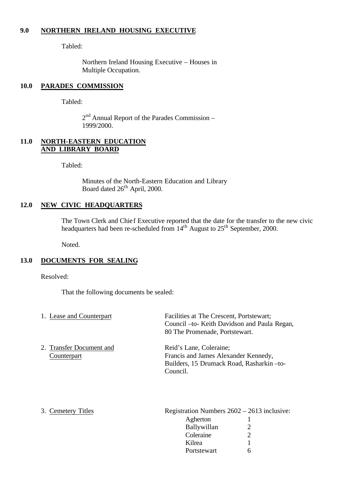#### **9.0 NORTHERN IRELAND HOUSING EXECUTIVE**

Tabled:

Northern Ireland Housing Executive – Houses in Multiple Occupation.

#### **10.0 PARADES COMMISSION**

Tabled:

2<sup>nd</sup> Annual Report of the Parades Commission – 1999/2000.

#### **11.0 NORTH-EASTERN EDUCATION AND LIBRARY BOARD**

Tabled:

Minutes of the North-Eastern Education and Library Board dated 26<sup>th</sup> April, 2000.

#### **12.0 NEW CIVIC HEADQUARTERS**

The Town Clerk and Chief Executive reported that the date for the transfer to the new civic headquarters had been re-scheduled from  $14<sup>th</sup>$  August to  $25<sup>th</sup>$  September, 2000.

Noted.

#### **13.0 DOCUMENTS FOR SEALING**

Resolved:

That the following documents be sealed:

| 1. Lease and Counterpart                | Facilities at The Crescent, Portstewart;<br>Council – to- Keith Davidson and Paula Regan,<br>80 The Promenade, Portstewart. |
|-----------------------------------------|-----------------------------------------------------------------------------------------------------------------------------|
| 2. Transfer Document and<br>Counterpart | Reid's Lane, Coleraine;<br>Francis and James Alexander Kennedy,<br>Builders, 15 Drumack Road, Rasharkin-to-<br>Council.     |

3. Cemetery Titles Registration Numbers  $2602 - 2613$  inclusive: Agherton 1 Ballywillan 2 Coleraine 2 Kilrea 1 Portstewart 6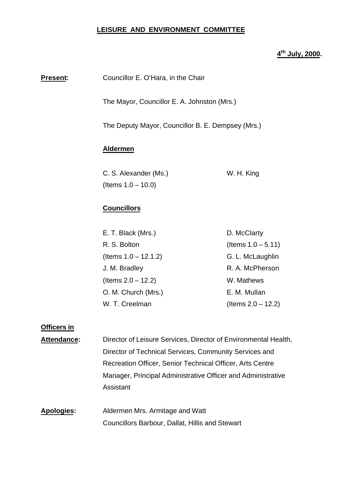#### **LEISURE AND ENVIRONMENT COMMITTEE**

### **4 th July, 2000.**

| Present: | Councillor E. O'Hara, in the Chair                |                       |  |
|----------|---------------------------------------------------|-----------------------|--|
|          | The Mayor, Councillor E. A. Johnston (Mrs.)       |                       |  |
|          | The Deputy Mayor, Councillor B. E. Dempsey (Mrs.) |                       |  |
|          | <b>Aldermen</b>                                   |                       |  |
|          | C. S. Alexander (Ms.)                             | W. H. King            |  |
|          | (Items $1.0 - 10.0$ )                             |                       |  |
|          | <b>Councillors</b>                                |                       |  |
|          | E. T. Black (Mrs.)                                | D. McClarty           |  |
|          | R. S. Bolton                                      | (Items $1.0 - 5.11$ ) |  |
|          | (Items $1.0 - 12.1.2$ )                           | G. L. McLaughlin      |  |
|          | J. M. Bradley                                     | R. A. McPherson       |  |
|          | (Items $2.0 - 12.2$ )                             | W. Mathews            |  |
|          | O. M. Church (Mrs.)                               | E. M. Mullan          |  |
|          | W. T. Creelman                                    | (Items $2.0 - 12.2$ ) |  |
|          |                                                   |                       |  |

#### **Officers in**

- Attendance: Director of Leisure Services, Director of Environmental Health, Director of Technical Services, Community Services and Recreation Officer, Senior Technical Officer, Arts Centre Manager, Principal Administrative Officer and Administrative Assistant
- **Apologies:** Aldermen Mrs. Armitage and Watt Councillors Barbour, Dallat, Hillis and Stewart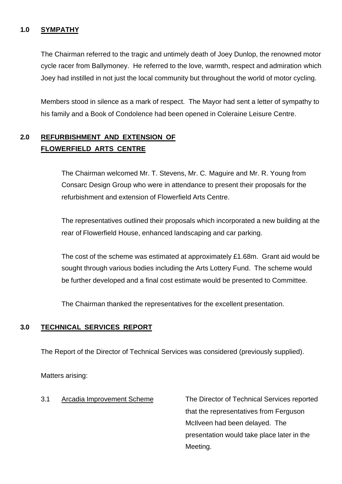### **1.0 SYMPATHY**

The Chairman referred to the tragic and untimely death of Joey Dunlop, the renowned motor cycle racer from Ballymoney. He referred to the love, warmth, respect and admiration which Joey had instilled in not just the local community but throughout the world of motor cycling.

Members stood in silence as a mark of respect. The Mayor had sent a letter of sympathy to his family and a Book of Condolence had been opened in Coleraine Leisure Centre.

# **2.0 REFURBISHMENT AND EXTENSION OF FLOWERFIELD ARTS CENTRE**

The Chairman welcomed Mr. T. Stevens, Mr. C. Maguire and Mr. R. Young from Consarc Design Group who were in attendance to present their proposals for the refurbishment and extension of Flowerfield Arts Centre.

The representatives outlined their proposals which incorporated a new building at the rear of Flowerfield House, enhanced landscaping and car parking.

The cost of the scheme was estimated at approximately £1.68m. Grant aid would be sought through various bodies including the Arts Lottery Fund. The scheme would be further developed and a final cost estimate would be presented to Committee.

The Chairman thanked the representatives for the excellent presentation.

# **3.0 TECHNICAL SERVICES REPORT**

The Report of the Director of Technical Services was considered (previously supplied).

Matters arising:

3.1 Arcadia Improvement Scheme The Director of Technical Services reported that the representatives from Ferguson McIlveen had been delayed. The presentation would take place later in the Meeting.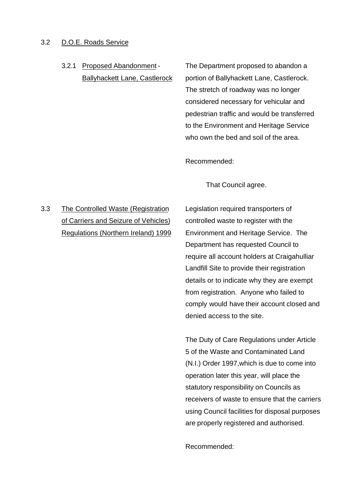#### 3.2 D.O.E. Roads Service

3.2.1 Proposed Abandonment - The Department proposed to abandon a Ballyhackett Lane, Castlerock portion of Ballyhackett Lane, Castlerock. The stretch of roadway was no longer considered necessary for vehicular and pedestrian traffic and would be transferred to the Environment and Heritage Service who own the bed and soil of the area.

Recommended:

That Council agree.

# 3.3 The Controlled Waste (Registration Legislation required transporters of of Carriers and Seizure of Vehicles) controlled waste to register with the

Regulations (Northern Ireland) 1999 Environment and Heritage Service. The Department has requested Council to require all account holders at Craigahulliar Landfill Site to provide their registration details or to indicate why they are exempt from registration. Anyone who failed to comply would have their account closed and denied access to the site.

> The Duty of Care Regulations under Article 5 of the Waste and Contaminated Land (N.I.) Order 1997,which is due to come into operation later this year, will place the statutory responsibility on Councils as receivers of waste to ensure that the carriers using Council facilities for disposal purposes are properly registered and authorised.

Recommended: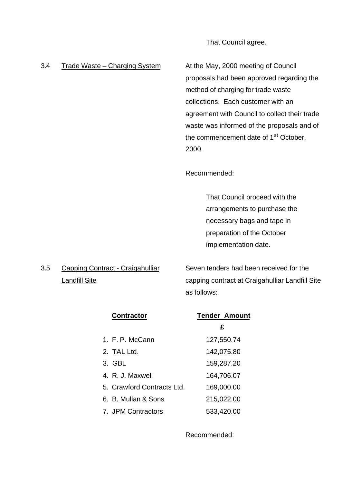That Council agree.

3.4 Trade Waste – Charging System At the May, 2000 meeting of Council proposals had been approved regarding the method of charging for trade waste collections. Each customer with an agreement with Council to collect their trade waste was informed of the proposals and of the commencement date of 1<sup>st</sup> October, 2000.

Recommended:

That Council proceed with the arrangements to purchase the necessary bags and tape in preparation of the October implementation date.

3.5 Capping Contract - Craigahulliar Seven tenders had been received for the Landfill Site capping contract at Craigahulliar Landfill Site as follows:

| <b>Contractor</b>          | <b>Tender Amount</b> |
|----------------------------|----------------------|
|                            | £                    |
| 1. F. P. McCann            | 127,550.74           |
| 2. TAL Ltd.                | 142,075.80           |
| 3. GBL                     | 159,287.20           |
| 4. R. J. Maxwell           | 164,706.07           |
| 5. Crawford Contracts Ltd. | 169,000.00           |
| 6. B. Mullan & Sons        | 215,022.00           |
| 7. JPM Contractors         | 533,420.00           |

Recommended: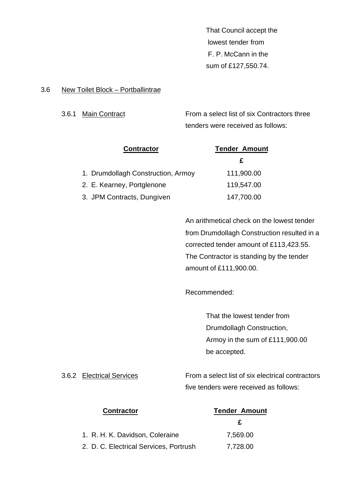That Council accept the lowest tender from F. P. McCann in the sum of £127,550.74.

#### 3.6 New Toilet Block – Portballintrae

3.6.1 Main Contract From a select list of six Contractors three tenders were received as follows:

| <b>Contractor</b>                  | <b>Tender Amount</b> |
|------------------------------------|----------------------|
|                                    | £                    |
| 1. Drumdollagh Construction, Armoy | 111,900.00           |
| 2. E. Kearney, Portglenone         | 119,547.00           |
| 3. JPM Contracts, Dungiven         | 147,700.00           |

An arithmetical check on the lowest tender from Drumdollagh Construction resulted in a corrected tender amount of £113,423.55. The Contractor is standing by the tender amount of £111,900.00.

Recommended:

That the lowest tender from Drumdollagh Construction, Armoy in the sum of £111,900.00 be accepted.

3.6.2 Electrical Services From a select list of six electrical contractors five tenders were received as follows:

| <b>Contractor</b>                      | <b>Tender Amount</b> |
|----------------------------------------|----------------------|
|                                        | F                    |
| 1. R. H. K. Davidson, Coleraine        | 7,569.00             |
| 2. D. C. Electrical Services, Portrush | 7,728.00             |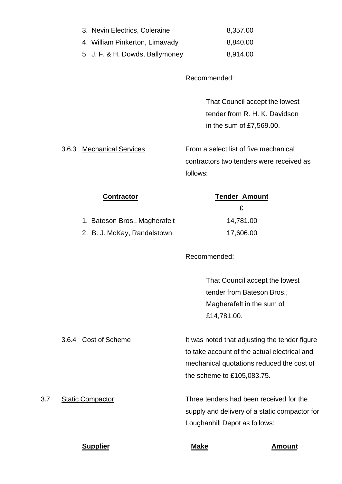| 3. Nevin Electrics, Coleraine   | 8,357.00 |
|---------------------------------|----------|
| 4. William Pinkerton, Limavady  | 8,840.00 |
| 5. J. F. & H. Dowds, Ballymoney | 8,914.00 |

Recommended:

That Council accept the lowest tender from R. H. K. Davidson in the sum of £7,569.00.

3.6.3 Mechanical Services From a select list of five mechanical contractors two tenders were received as follows:

| <b>Tender Amount</b> |  |
|----------------------|--|
| £                    |  |
| 14,781.00            |  |
| 17,606.00            |  |
|                      |  |

Recommended:

That Council accept the lowest tender from Bateson Bros., Magherafelt in the sum of £14,781.00.

3.6.4 Cost of Scheme It was noted that adjusting the tender figure to take account of the actual electrical and mechanical quotations reduced the cost of the scheme to £105,083.75.

3.7 Static Compactor Three tenders had been received for the supply and delivery of a static compactor for Loughanhill Depot as follows:

**Supplier Make Amount**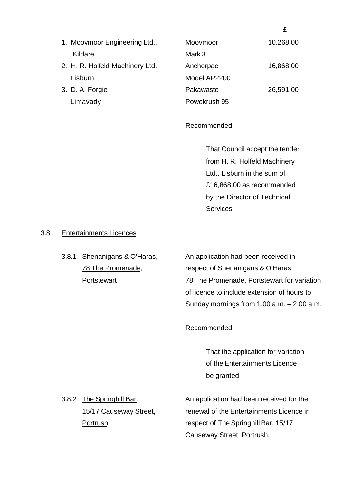|  | 1. Moovmoor Engineering Ltd.,   | Moovmoor     | 10,268.00 |
|--|---------------------------------|--------------|-----------|
|  | Kildare                         | Mark 3       |           |
|  | 2. H. R. Holfeld Machinery Ltd. | Anchorpac    | 16,868.00 |
|  | Lisburn                         | Model AP2200 |           |
|  | 3. D. A. Forgie                 | Pakawaste    | 26,591.00 |
|  | Limavady                        | Powekrush 95 |           |

Recommended:

That Council accept the tender from H. R. Holfeld Machinery Ltd., Lisburn in the sum of £16,868.00 as recommended by the Director of Technical Services.

 **£**

#### 3.8 Entertainments Licences

3.8.1 Shenanigans & O'Haras, An application had been received in 78 The Promenade, respect of Shenanigans & O'Haras, Portstewart 78 The Promenade, Portstewart for variation of licence to include extension of hours to Sunday mornings from 1.00 a.m. – 2.00 a.m.

Recommended:

That the application for variation of the Entertainments Licence be granted.

3.8.2 The Springhill Bar, An application had been received for the 15/17 Causeway Street, renewal of the Entertainments Licence in Portrush respect of The Springhill Bar, 15/17 Causeway Street, Portrush.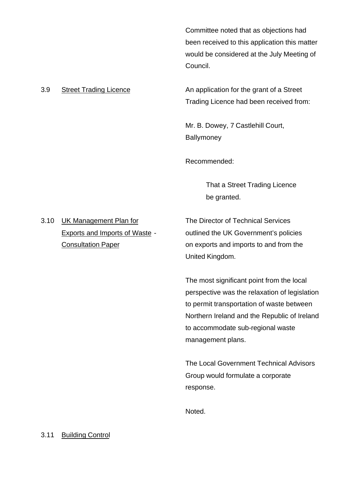Committee noted that as objections had been received to this application this matter would be considered at the July Meeting of Council.

3.9 Street Trading Licence **An application for the grant of a Street** Trading Licence had been received from:

> Mr. B. Dowey, 7 Castlehill Court, **Ballymoney**

Recommended:

That a Street Trading Licence be granted.

3.10 UK Management Plan for The Director of Technical Services

Exports and Imports of Waste - outlined the UK Government's policies Consultation Paper **Consultation Paper** on exports and imports to and from the United Kingdom.

> The most significant point from the local perspective was the relaxation of legislation to permit transportation of waste between Northern Ireland and the Republic of Ireland to accommodate sub-regional waste management plans.

The Local Government Technical Advisors Group would formulate a corporate response.

Noted.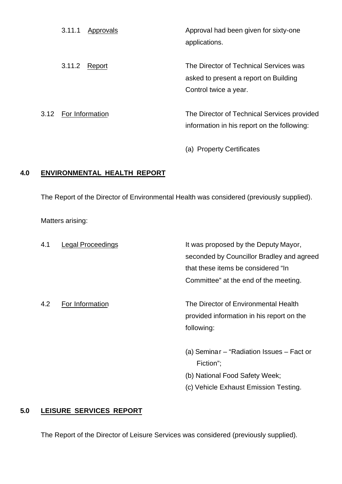| 3.11.1               | Approvals | Approval had been given for sixty-one<br>applications.                                                   |
|----------------------|-----------|----------------------------------------------------------------------------------------------------------|
| 3.11.2               | Report    | The Director of Technical Services was<br>asked to present a report on Building<br>Control twice a year. |
| 3.12 For Information |           | The Director of Technical Services provided                                                              |

(a) Property Certificates

information in his report on the following:

### **4.0 ENVIRONMENTAL HEALTH REPORT**

The Report of the Director of Environmental Health was considered (previously supplied).

Matters arising:

| 4.1 | Legal Proceedings | It was proposed by the Deputy Mayor,      |
|-----|-------------------|-------------------------------------------|
|     |                   | seconded by Councillor Bradley and agreed |
|     |                   | that these items be considered "In        |
|     |                   | Committee" at the end of the meeting.     |
| 4.2 | For Information   | The Director of Environmental Health      |
|     |                   | provided information in his report on the |
|     |                   | following:                                |
|     |                   | (a) Seminar – "Radiation Issues – Fact or |
|     |                   | Fiction";                                 |
|     |                   | (b) National Food Safety Week;            |
|     |                   | (c) Vehicle Exhaust Emission Testing.     |

# **5.0 LEISURE SERVICES REPORT**

The Report of the Director of Leisure Services was considered (previously supplied).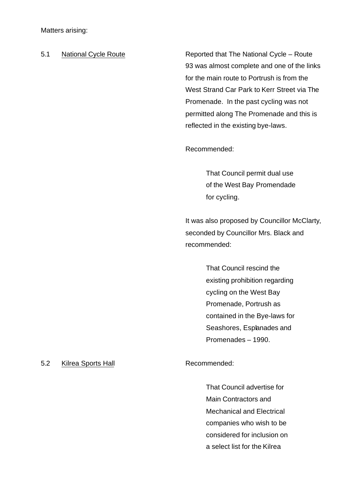Matters arising:

5.1 National Cycle Route **Reported that The National Cycle – Route** 93 was almost complete and one of the links for the main route to Portrush is from the West Strand Car Park to Kerr Street via The Promenade. In the past cycling was not permitted along The Promenade and this is reflected in the existing bye-laws.

Recommended:

That Council permit dual use of the West Bay Promendade for cycling.

It was also proposed by Councillor McClarty, seconded by Councillor Mrs. Black and recommended:

> That Council rescind the existing prohibition regarding cycling on the West Bay Promenade, Portrush as contained in the Bye-laws for Seashores, Esplanades and Promenades – 1990.

#### 5.2 Kilrea Sports Hall Recommended:

That Council advertise for Main Contractors and Mechanical and Electrical companies who wish to be considered for inclusion on a select list for the Kilrea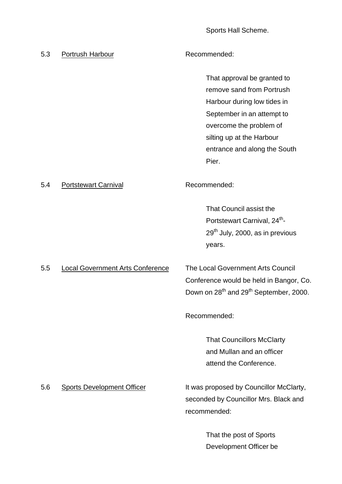Sports Hall Scheme.

| 5.3 | Portrush Harbour                        | Recommended:                                                                                                                                                                                                           |
|-----|-----------------------------------------|------------------------------------------------------------------------------------------------------------------------------------------------------------------------------------------------------------------------|
|     |                                         | That approval be granted to<br>remove sand from Portrush<br>Harbour during low tides in<br>September in an attempt to<br>overcome the problem of<br>silting up at the Harbour<br>entrance and along the South<br>Pier. |
| 5.4 | <b>Portstewart Carnival</b>             | Recommended:                                                                                                                                                                                                           |
|     |                                         | That Council assist the<br>Portstewart Carnival, 24 <sup>th</sup> -<br>$29th$ July, 2000, as in previous<br>years.                                                                                                     |
| 5.5 | <b>Local Government Arts Conference</b> | The Local Government Arts Council<br>Conference would be held in Bangor, Co.<br>Down on 28 <sup>th</sup> and 29 <sup>th</sup> September, 2000.                                                                         |
|     |                                         | Recommended:                                                                                                                                                                                                           |
|     |                                         | <b>That Councillors McClarty</b><br>and Mullan and an officer<br>attend the Conference.                                                                                                                                |
| 5.6 | <b>Sports Development Officer</b>       | It was proposed by Councillor McClarty,<br>seconded by Councillor Mrs. Black and<br>recommended:                                                                                                                       |
|     |                                         | That the post of Sports<br>Development Officer be                                                                                                                                                                      |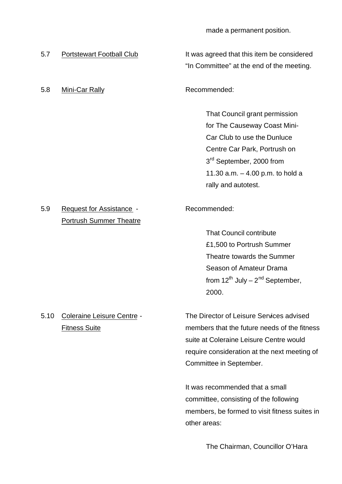made a permanent position.

5.8 Mini-Car Rally **Recommended:** 

5.7 Portstewart Football Club It was agreed that this item be considered "In Committee" at the end of the meeting.

That Council grant permission for The Causeway Coast Mini-Car Club to use the Dunluce Centre Car Park, Portrush on 3<sup>rd</sup> September, 2000 from 11.30 a.m. – 4.00 p.m. to hold a rally and autotest.

# 5.9 Request for Assistance - Recommended: Portrush Summer Theatre

That Council contribute £1,500 to Portrush Summer Theatre towards the Summer Season of Amateur Drama from  $12^{th}$  July –  $2^{nd}$  September, 2000.

5.10 Coleraine Leisure Centre - The Director of Leisure Services advised Fitness Suite members that the future needs of the fitness suite at Coleraine Leisure Centre would require consideration at the next meeting of Committee in September.

> It was recommended that a small committee, consisting of the following members, be formed to visit fitness suites in other areas:

> > The Chairman, Councillor O'Hara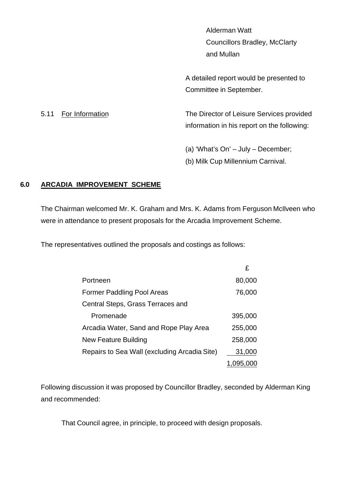Alderman Watt Councillors Bradley, McClarty and Mullan

A detailed report would be presented to Committee in September.

5.11 For Information The Director of Leisure Services provided information in his report on the following:

(a) 'What's On' – July – December;

(b) Milk Cup Millennium Carnival.

# **6.0 ARCADIA IMPROVEMENT SCHEME**

The Chairman welcomed Mr. K. Graham and Mrs. K. Adams from Ferguson McIlveen who were in attendance to present proposals for the Arcadia Improvement Scheme.

The representatives outlined the proposals and costings as follows:

|                                              | £         |
|----------------------------------------------|-----------|
| Portneen                                     | 80,000    |
| <b>Former Paddling Pool Areas</b>            | 76,000    |
| Central Steps, Grass Terraces and            |           |
| Promenade                                    | 395,000   |
| Arcadia Water, Sand and Rope Play Area       | 255,000   |
| New Feature Building                         | 258,000   |
| Repairs to Sea Wall (excluding Arcadia Site) | 31,000    |
|                                              | 1,095,000 |

Following discussion it was proposed by Councillor Bradley, seconded by Alderman King and recommended:

That Council agree, in principle, to proceed with design proposals.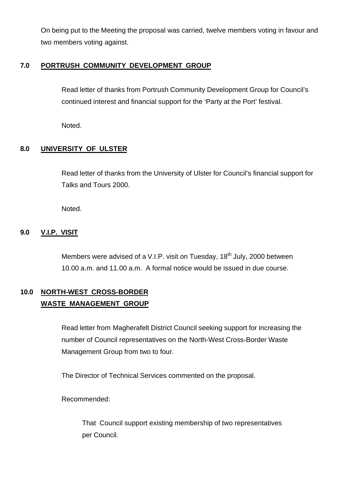On being put to the Meeting the proposal was carried, twelve members voting in favour and two members voting against.

# **7.0 PORTRUSH COMMUNITY DEVELOPMENT GROUP**

Read letter of thanks from Portrush Community Development Group for Council's continued interest and financial support for the 'Party at the Port' festival.

Noted.

# **8.0 UNIVERSITY OF ULSTER**

Read letter of thanks from the University of Ulster for Council's financial support for Talks and Tours 2000.

Noted.

# **9.0 V.I.P. VISIT**

Members were advised of a V.I.P. visit on Tuesday, 18<sup>th</sup> July, 2000 between 10.00 a.m. and 11.00 a.m. A formal notice would be issued in due course.

# **10.0 NORTH-WEST CROSS-BORDER WASTE MANAGEMENT GROUP**

Read letter from Magherafelt District Council seeking support for increasing the number of Council representatives on the North-West Cross-Border Waste Management Group from two to four.

The Director of Technical Services commented on the proposal.

Recommended:

That Council support existing membership of two representatives per Council.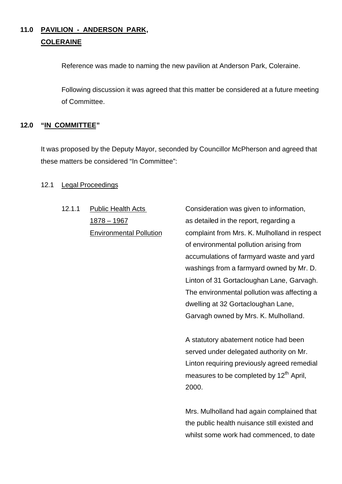# **11.0 PAVILION - ANDERSON PARK, COLERAINE**

Reference was made to naming the new pavilion at Anderson Park, Coleraine.

Following discussion it was agreed that this matter be considered at a future meeting of Committee.

# **12.0 "IN COMMITTEE"**

It was proposed by the Deputy Mayor, seconded by Councillor McPherson and agreed that these matters be considered "In Committee":

# 12.1 Legal Proceedings

12.1.1 Public Health Acts Consideration was given to information,

1878 – 1967 as detailed in the report, regarding a Environmental Pollution complaint from Mrs. K. Mulholland in respect of environmental pollution arising from accumulations of farmyard waste and yard washings from a farmyard owned by Mr. D. Linton of 31 Gortacloughan Lane, Garvagh. The environmental pollution was affecting a dwelling at 32 Gortacloughan Lane, Garvagh owned by Mrs. K. Mulholland.

> A statutory abatement notice had been served under delegated authority on Mr. Linton requiring previously agreed remedial measures to be completed by  $12<sup>th</sup>$  April, 2000.

> Mrs. Mulholland had again complained that the public health nuisance still existed and whilst some work had commenced, to date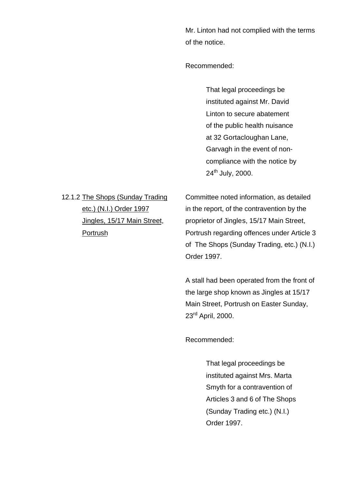Mr. Linton had not complied with the terms of the notice.

Recommended:

That legal proceedings be instituted against Mr. David Linton to secure abatement of the public health nuisance at 32 Gortacloughan Lane, Garvagh in the event of noncompliance with the notice by 24<sup>th</sup> July, 2000.

12.1.2 The Shops (Sunday Trading Committee noted information, as detailed etc.) (N.I.) Order 1997 in the report, of the contravention by the Jingles, 15/17 Main Street, proprietor of Jingles, 15/17 Main Street, Portrush Portrush regarding offences under Article 3 of The Shops (Sunday Trading, etc.) (N.I.) Order 1997.

> A stall had been operated from the front of the large shop known as Jingles at 15/17 Main Street, Portrush on Easter Sunday, 23rd April, 2000.

Recommended:

That legal proceedings be instituted against Mrs. Marta Smyth for a contravention of Articles 3 and 6 of The Shops (Sunday Trading etc.) (N.I.) Order 1997.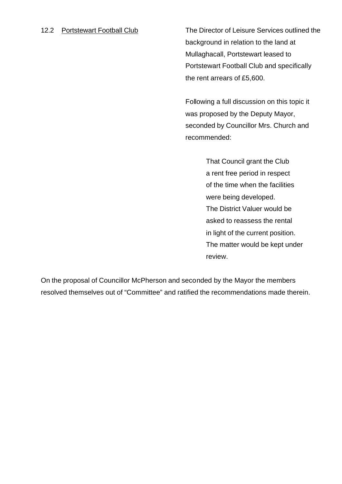12.2 Portstewart Football Club The Director of Leisure Services outlined the background in relation to the land at Mullaghacall, Portstewart leased to Portstewart Football Club and specifically the rent arrears of £5,600.

> Following a full discussion on this topic it was proposed by the Deputy Mayor, seconded by Councillor Mrs. Church and recommended:

> > That Council grant the Club a rent free period in respect of the time when the facilities were being developed. The District Valuer would be asked to reassess the rental in light of the current position. The matter would be kept under review.

On the proposal of Councillor McPherson and seconded by the Mayor the members resolved themselves out of "Committee" and ratified the recommendations made therein.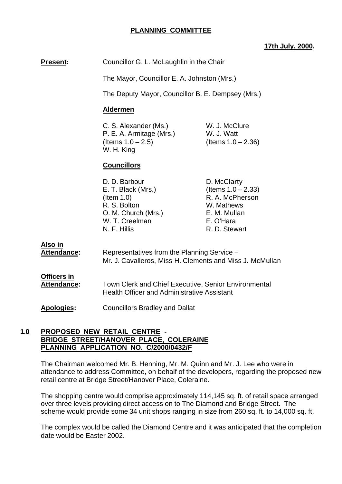## **PLANNING COMMITTEE**

#### **17th July, 2000.**

**Present:** Councillor G. L. McLaughlin in the Chair

The Mayor, Councillor E. A. Johnston (Mrs.)

The Deputy Mayor, Councillor B. E. Dempsey (Mrs.)

### **Aldermen**

C. S. Alexander (Ms.) W. J. McClure P. E. A. Armitage (Mrs.) W. J. Watt  $($ ltems  $1.0 - 2.5)$   $($ ltems  $1.0 - 2.36)$ W. H. King

# **Councillors**

| D. D. Barbour       | D. McClarty           |
|---------------------|-----------------------|
| E. T. Black (Mrs.)  | (Items $1.0 - 2.33$ ) |
| $($ ltem 1.0)       | R. A. McPherson       |
| R. S. Bolton        | W. Mathews            |
| O. M. Church (Mrs.) | E. M. Mullan          |
| W. T. Creelman      | E. O'Hara             |
| N. F. Hillis        | R. D. Stewart         |

**Also in**

| <b>Attendance:</b>                | Representatives from the Planning Service -<br>Mr. J. Cavalleros, Miss H. Clements and Miss J. McMullan           |
|-----------------------------------|-------------------------------------------------------------------------------------------------------------------|
| Officers in<br><b>Attendance:</b> | <b>Town Clerk and Chief Executive, Senior Environmental</b><br><b>Health Officer and Administrative Assistant</b> |
| <b>Apologies:</b>                 | <b>Councillors Bradley and Dallat</b>                                                                             |

#### **1.0 PROPOSED NEW RETAIL CENTRE - BRIDGE STREET/HANOVER PLACE, COLERAINE PLANNING APPLICATION NO. C/2000/0432/F**

The Chairman welcomed Mr. B. Henning, Mr. M. Quinn and Mr. J. Lee who were in attendance to address Committee, on behalf of the developers, regarding the proposed new retail centre at Bridge Street/Hanover Place, Coleraine.

The shopping centre would comprise approximately 114,145 sq. ft. of retail space arranged over three levels providing direct access on to The Diamond and Bridge Street. The scheme would provide some 34 unit shops ranging in size from 260 sq. ft. to 14,000 sq. ft.

The complex would be called the Diamond Centre and it was anticipated that the completion date would be Easter 2002.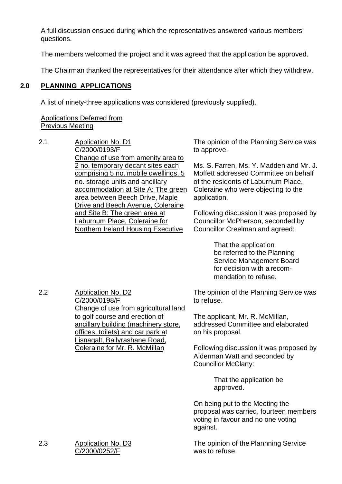A full discussion ensued during which the representatives answered various members' questions.

The members welcomed the project and it was agreed that the application be approved.

The Chairman thanked the representatives for their attendance after which they withdrew.

### **2.0 PLANNING APPLICATIONS**

A list of ninety-three applications was considered (previously supplied).

## Applications Deferred from Previous Meeting

2.1 Application No. D1 C/2000/0193/F Change of use from amenity area to 2 no. temporary decant sites each comprising 5 no. mobile dwellings, 5 no. storage units and ancillary accommodation at Site A: The green area between Beech Drive, Maple Drive and Beech Avenue, Coleraine and Site B: The green area at Laburnum Place, Coleraine for Northern Ireland Housing Executive

The opinion of the Planning Service was to approve.

Ms. S. Farren, Ms. Y. Madden and Mr. J. Moffett addressed Committee on behalf of the residents of Laburnum Place, Coleraine who were objecting to the application.

Following discussion it was proposed by Councillor McPherson, seconded by Councillor Creelman and agreed:

> That the application be referred to the Planning Service Management Board for decision with a recommendation to refuse.

2.2 Application No. D2 C/2000/0198/F Change of use from agricultural land to golf course and erection of ancillary building (machinery store, offices, toilets) and car park at Lisnagalt, Ballyrashane Road, Coleraine for Mr. R. McMillan

The opinion of the Planning Service was to refuse.

The applicant, Mr. R. McMillan, addressed Committee and elaborated on his proposal.

Following discussion it was proposed by Alderman Watt and seconded by Councillor McClarty:

> That the application be approved.

On being put to the Meeting the proposal was carried, fourteen members voting in favour and no one voting against.

The opinion of the Plannning Service was to refuse.

2.3 Application No. D3 C/2000/0252/F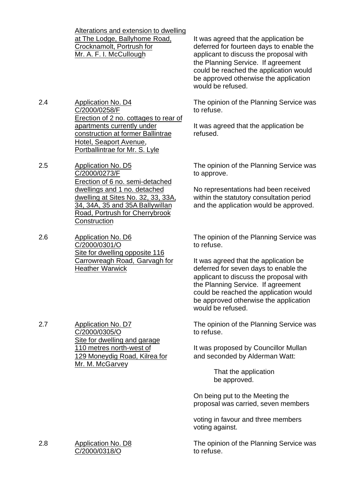Alterations and extension to dwelling at The Lodge, Ballyhome Road, Crocknamolt, Portrush for Mr. A. F. I. McCullough

2.4 Application No. D4 C/2000/0258/F Erection of 2 no. cottages to rear of apartments currently under construction at former Ballintrae Hotel, Seaport Avenue, Portballintrae for Mr. S. Lyle

- 2.5 Application No. D5 C/2000/0273/F Erection of 6 no. semi-detached dwellings and 1 no. detached dwelling at Sites No. 32, 33, 33A, 34, 34A, 35 and 35A Ballywillan Road, Portrush for Cherrybrook **Construction**
- 2.6 Application No. D6 C/2000/0301/O Site for dwelling opposite 116 Carrowreagh Road, Garvagh for Heather Warwick

It was agreed that the application be deferred for fourteen days to enable the applicant to discuss the proposal with the Planning Service. If agreement could be reached the application would be approved otherwise the application would be refused.

The opinion of the Planning Service was to refuse.

It was agreed that the application be refused.

The opinion of the Planning Service was to approve.

No representations had been received within the statutory consultation period and the application would be approved.

The opinion of the Planning Service was to refuse.

It was agreed that the application be deferred for seven days to enable the applicant to discuss the proposal with the Planning Service. If agreement could be reached the application would be approved otherwise the application would be refused.

The opinion of the Planning Service was to refuse.

It was proposed by Councillor Mullan and seconded by Alderman Watt:

> That the application be approved.

On being put to the Meeting the proposal was carried, seven members

voting in favour and three members voting against.

The opinion of the Planning Service was to refuse.

2.7 Application No. D7 C/2000/0305/O Site for dwelling and garage 110 metres north-west of 129 Moneydig Road, Kilrea for Mr. M. McGarvey

2.8 Application No. D8 C/2000/0318/O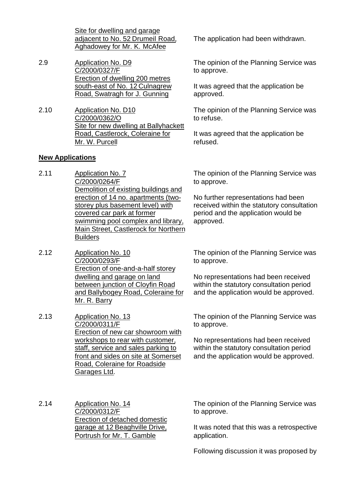Site for dwelling and garage adjacent to No. 52 Drumeil Road, Aghadowey for Mr. K. McAfee

- 2.9 Application No. D9 C/2000/0327/F Erection of dwelling 200 metres south-east of No. 12 Culnagrew Road, Swatragh for J. Gunning
- 2.10 Application No. D10 C/2000/0362/O Site for new dwelling at Ballyhackett Road, Castlerock, Coleraine for Mr. W. Purcell

### **New Applications**

- 2.11 Application No. 7 C/2000/0264/F Demolition of existing buildings and erection of 14 no. apartments (twostorey plus basement level) with covered car park at former swimming pool complex and library, Main Street, Castlerock for Northern **Builders**
- 2.12 Application No. 10 C/2000/0293/F Erection of one-and-a-half storey dwelling and garage on land between junction of Cloyfin Road and Ballybogey Road, Coleraine for Mr. R. Barry
- 2.13 Application No. 13 C/2000/0311/F Erection of new car showroom with workshops to rear with customer. staff, service and sales parking to front and sides on site at Somerset Road, Coleraine for Roadside Garages Ltd.

The application had been withdrawn.

The opinion of the Planning Service was to approve.

It was agreed that the application be approved.

The opinion of the Planning Service was to refuse.

It was agreed that the application be refused.

The opinion of the Planning Service was to approve.

No further representations had been received within the statutory consultation period and the application would be approved.

The opinion of the Planning Service was to approve.

No representations had been received within the statutory consultation period and the application would be approved.

The opinion of the Planning Service was to approve.

No representations had been received within the statutory consultation period and the application would be approved.

2.14 Application No. 14 C/2000/0312/F Erection of detached domestic garage at 12 Beaghville Drive, Portrush for Mr. T. Gamble

The opinion of the Planning Service was to approve.

It was noted that this was a retrospective application.

Following discussion it was proposed by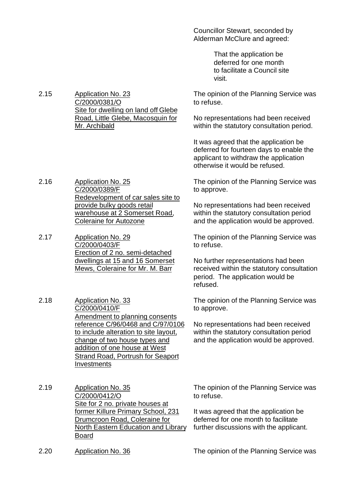Councillor Stewart, seconded by Alderman McClure and agreed:

> That the application be deferred for one month to facilitate a Council site visit.

The opinion of the Planning Service was to refuse.

No representations had been received within the statutory consultation period.

It was agreed that the application be deferred for fourteen days to enable the applicant to withdraw the application otherwise it would be refused.

The opinion of the Planning Service was to approve.

No representations had been received within the statutory consultation period and the application would be approved.

The opinion of the Planning Service was to refuse.

No further representations had been received within the statutory consultation period. The application would be refused.

The opinion of the Planning Service was to approve.

No representations had been received within the statutory consultation period and the application would be approved.

2.15 Application No. 23 C/2000/0381/O Site for dwelling on land off Glebe Road, Little Glebe, Macosquin for Mr. Archibald

2.16 Application No. 25 C/2000/0389/F Redevelopment of car sales site to provide bulky goods retail warehouse at 2 Somerset Road, Coleraine for Autozone

2.17 Application No. 29 C/2000/0403/F Erection of 2 no. semi-detached dwellings at 15 and 16 Somerset Mews, Coleraine for Mr. M. Barr

2.18 Application No. 33 C/2000/0410/F Amendment to planning consents reference C/96/0468 and C/97/0106 to include alteration to site layout, change of two house types and addition of one house at West Strand Road, Portrush for Seaport **Investments** 

2.19 Application No. 35 C/2000/0412/O Site for 2 no. private houses at former Killure Primary School, 231 Drumcroon Road, Coleraine for North Eastern Education and Library Board

The opinion of the Planning Service was to refuse.

It was agreed that the application be deferred for one month to facilitate further discussions with the applicant.

2.20 Application No. 36 The opinion of the Planning Service was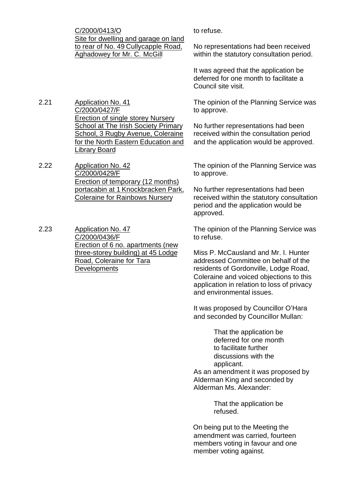C/2000/0413/O Site for dwelling and garage on land to rear of No. 49 Cullycapple Road, Aghadowey for Mr. C. McGill

2.21 Application No. 41 C/2000/0427/F Erection of single storey Nursery School at The Irish Society Primary School, 3 Rugby Avenue, Coleraine for the North Eastern Education and Library Board

2.22 Application No. 42 C/2000/0429/F Erection of temporary (12 months) portacabin at 1 Knockbracken Park, Coleraine for Rainbows Nursery

2.23 Application No. 47 C/2000/0436/F Erection of 6 no. apartments (new three-storey building) at 45 Lodge Road, Coleraine for Tara **Developments** 

to refuse.

No representations had been received within the statutory consultation period.

It was agreed that the application be deferred for one month to facilitate a Council site visit.

The opinion of the Planning Service was to approve.

No further representations had been received within the consultation period and the application would be approved.

The opinion of the Planning Service was to approve.

No further representations had been received within the statutory consultation period and the application would be approved.

The opinion of the Planning Service was to refuse.

Miss P. McCausland and Mr. I. Hunter addressed Committee on behalf of the residents of Gordonville, Lodge Road, Coleraine and voiced objections to this application in relation to loss of privacy and environmental issues.

It was proposed by Councillor O'Hara and seconded by Councillor Mullan:

> That the application be deferred for one month to facilitate further discussions with the applicant.

As an amendment it was proposed by Alderman King and seconded by Alderman Ms. Alexander:

> That the application be refused.

On being put to the Meeting the amendment was carried, fourteen members voting in favour and one member voting against.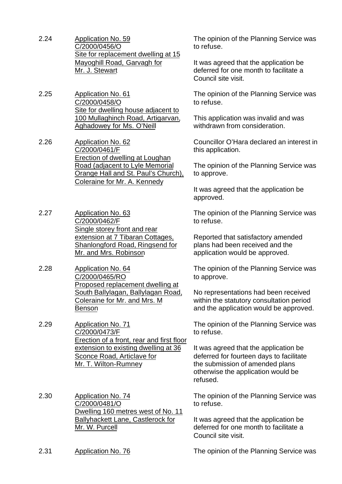- 2.24 Application No. 59 C/2000/0456/O Site for replacement dwelling at 15 Mayoghill Road, Garvagh for Mr. J. Stewart
- 2.25 Application No. 61 C/2000/0458/O Site for dwelling house adjacent to 100 Mullaghinch Road, Artigarvan, Aghadowey for Ms. O'Neill
- 2.26 Application No. 62 C/2000/0461/F Erection of dwelling at Loughan Road (adjacent to Lyle Memorial Orange Hall and St. Paul's Church), Coleraine for Mr. A. Kennedy
- 2.27 Application No. 63 C/2000/0462/F Single storey front and rear extension at 7 Tibaran Cottages, Shanlongford Road, Ringsend for Mr. and Mrs. Robinson
- 2.28 Application No. 64 C/2000/0465/RO Proposed replacement dwelling at South Ballylagan, Ballylagan Road, Coleraine for Mr. and Mrs. M Benson

2.29 Application No. 71 C/2000/0473/F Erection of a front, rear and first floor extension to existing dwelling at 36 Sconce Road, Articlave for Mr. T. Wilton-Rumney

2.30 Application No. 74 C/2000/0481/O Dwelling 160 metres west of No. 11 Ballyhackett Lane, Castlerock for Mr. W. Purcell

The opinion of the Planning Service was to refuse.

It was agreed that the application be deferred for one month to facilitate a Council site visit.

The opinion of the Planning Service was to refuse.

This application was invalid and was withdrawn from consideration.

Councillor O'Hara declared an interest in this application.

The opinion of the Planning Service was to approve.

It was agreed that the application be approved.

The opinion of the Planning Service was to refuse.

Reported that satisfactory amended plans had been received and the application would be approved.

The opinion of the Planning Service was to approve.

No representations had been received within the statutory consultation period and the application would be approved.

The opinion of the Planning Service was to refuse.

It was agreed that the application be deferred for fourteen days to facilitate the submission of amended plans otherwise the application would be refused.

The opinion of the Planning Service was to refuse.

It was agreed that the application be deferred for one month to facilitate a Council site visit.

2.31 Application No. 76 The opinion of the Planning Service was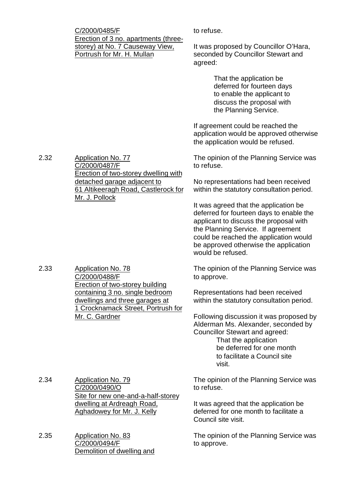C/2000/0485/F Erection of 3 no. apartments (threestorey) at No. 7 Causeway View, Portrush for Mr. H. Mullan

Erection of two-storey dwelling with

61 Altikeeragh Road, Castlerock for

detached garage adjacent to

to refuse.

It was proposed by Councillor O'Hara, seconded by Councillor Stewart and agreed:

> That the application be deferred for fourteen days to enable the applicant to discuss the proposal with the Planning Service.

If agreement could be reached the application would be approved otherwise the application would be refused.

The opinion of the Planning Service was to refuse.

No representations had been received within the statutory consultation period.

It was agreed that the application be deferred for fourteen days to enable the applicant to discuss the proposal with the Planning Service. If agreement could be reached the application would be approved otherwise the application would be refused.

The opinion of the Planning Service was to approve.

Representations had been received within the statutory consultation period.

Following discussion it was proposed by Alderman Ms. Alexander, seconded by Councillor Stewart and agreed: That the application

be deferred for one month to facilitate a Council site visit.

The opinion of the Planning Service was to refuse.

It was agreed that the application be deferred for one month to facilitate a Council site visit.

The opinion of the Planning Service was to approve.

2.33 Application No. 78 C/2000/0488/F Erection of two-storey building containing 3 no. single bedroom dwellings and three garages at 1 Crocknamack Street, Portrush for Mr. C. Gardner

C/2000/0487/F

Mr. J. Pollock

2.34 Application No. 79 C/2000/0490/O Site for new one-and-a-half-storey dwelling at Ardreagh Road, Aghadowey for Mr. J. Kelly

2.35 Application No. 83 C/2000/0494/F Demolition of dwelling and

2.32 Application No. 77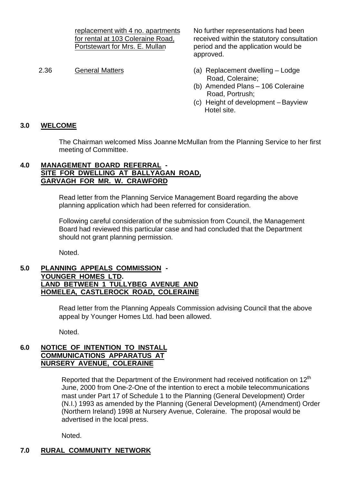replacement with 4 no. apartments for rental at 103 Coleraine Road, Portstewart for Mrs. E. Mullan

No further representations had been received within the statutory consultation period and the application would be approved.

- 2.36 General Matters (a) Replacement dwelling Lodge Road, Coleraine;
	- (b) Amended Plans 106 Coleraine Road, Portrush;
	- (c) Height of development Bayview Hotel site.

# **3.0 WELCOME**

The Chairman welcomed Miss Joanne McMullan from the Planning Service to her first meeting of Committee.

### **4.0 MANAGEMENT BOARD REFERRAL - SITE FOR DWELLING AT BALLYAGAN ROAD, GARVAGH FOR MR. W. CRAWFORD**

Read letter from the Planning Service Management Board regarding the above planning application which had been referred for consideration.

Following careful consideration of the submission from Council, the Management Board had reviewed this particular case and had concluded that the Department should not grant planning permission.

Noted.

#### **5.0 PLANNING APPEALS COMMISSION - YOUNGER HOMES LTD. LAND BETWEEN 1 TULLYBEG AVENUE AND HOMELEA, CASTLEROCK ROAD, COLERAINE**

Read letter from the Planning Appeals Commission advising Council that the above appeal by Younger Homes Ltd. had been allowed.

Noted.

### **6.0 NOTICE OF INTENTION TO INSTALL COMMUNICATIONS APPARATUS AT NURSERY AVENUE, COLERAINE**

Reported that the Department of the Environment had received notification on  $12<sup>th</sup>$ June, 2000 from One-2-One of the intention to erect a mobile telecommunications mast under Part 17 of Schedule 1 to the Planning (General Development) Order (N.I.) 1993 as amended by the Planning (General Development) (Amendment) Order (Northern Ireland) 1998 at Nursery Avenue, Coleraine. The proposal would be advertised in the local press.

Noted.

# **7.0 RURAL COMMUNITY NETWORK**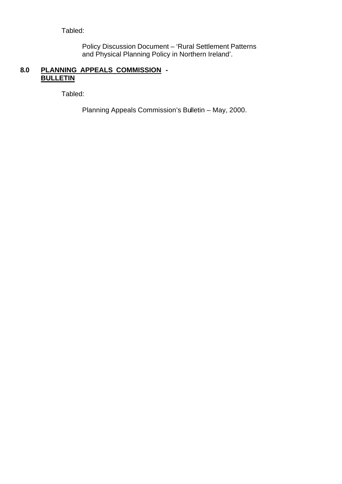Tabled:

Policy Discussion Document – 'Rural Settlement Patterns and Physical Planning Policy in Northern Ireland'.

# **8.0 PLANNING APPEALS COMMISSION - BULLETIN**

Tabled:

Planning Appeals Commission's Bulletin – May, 2000.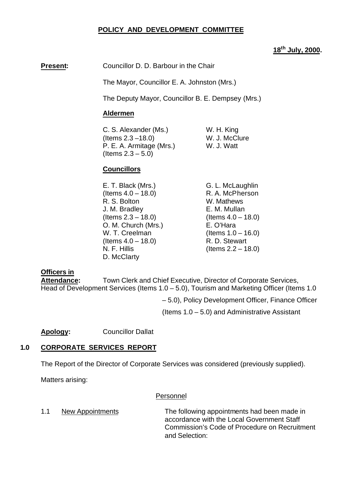### **POLICY AND DEVELOPMENT COMMITTEE**

#### **18th July, 2000.**

#### **Present:** Councillor D. D. Barbour in the Chair

The Mayor, Councillor E. A. Johnston (Mrs.)

The Deputy Mayor, Councillor B. E. Dempsey (Mrs.)

#### **Aldermen**

C. S. Alexander (Ms.) W. H. King (Items 2.3 –18.0) W. J. McClure P. E. A. Armitage (Mrs.) W. J. Watt (Items 2.3 – 5.0)

#### **Councillors**

E. T. Black (Mrs.) G. L. McLaughlin  $($ ltems  $4.0 - 18.0$  $)$  R. A. McPherson R. S. Bolton W. Mathews J. M. Bradley E. M. Mullan  $($ ltems  $2.3 - 18.0)$  (Items  $4.0 - 18.0)$ O. M. Church (Mrs.) E. O'Hara W. T. Creelman  $(1.0 - 16.0)$  $($ ltems  $4.0 - 18.0$ ) R. D. Stewart N. F. Hillis (Items 2.2 – 18.0) D. McClarty

#### **Officers in**

**Attendance:** Town Clerk and Chief Executive, Director of Corporate Services, Head of Development Services (Items 1.0 – 5.0), Tourism and Marketing Officer (Items 1.0

– 5.0), Policy Development Officer, Finance Officer

(Items 1.0 – 5.0) and Administrative Assistant

**Apology:** Councillor Dallat

#### **1.0 CORPORATE SERVICES REPORT**

The Report of the Director of Corporate Services was considered (previously supplied).

Matters arising:

#### Personnel

1.1 New Appointments The following appointments had been made in accordance with the Local Government Staff Commission's Code of Procedure on Recruitment and Selection: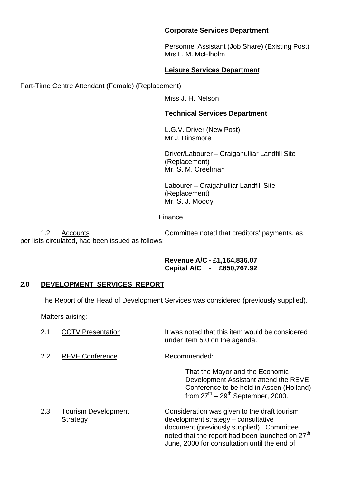#### **Corporate Services Department**

Personnel Assistant (Job Share) (Existing Post) Mrs L. M. McElholm

# **Leisure Services Department**

Part-Time Centre Attendant (Female) (Replacement)

Miss J. H. Nelson

# **Technical Services Department**

L.G.V. Driver (New Post) Mr J. Dinsmore

Driver/Labourer – Craigahulliar Landfill Site (Replacement) Mr. S. M. Creelman

Labourer – Craigahulliar Landfill Site (Replacement) Mr. S. J. Moody

# Finance

1.2 Accounts Committee noted that creditors' payments, as per lists circulated, had been issued as follows:

#### **Revenue A/C - £1,164,836.07 Capital A/C - £850,767.92**

# **2.0 DEVELOPMENT SERVICES REPORT**

The Report of the Head of Development Services was considered (previously supplied).

Matters arising:

| 2.1 | <b>CCTV Presentation</b>               | It was noted that this item would be considered<br>under item 5.0 on the agenda.                                                                                                                                                                |
|-----|----------------------------------------|-------------------------------------------------------------------------------------------------------------------------------------------------------------------------------------------------------------------------------------------------|
| 2.2 | <b>REVE Conference</b>                 | Recommended:                                                                                                                                                                                                                                    |
|     |                                        | That the Mayor and the Economic<br>Development Assistant attend the REVE<br>Conference to be held in Assen (Holland)<br>from $27th - 29th$ September, 2000.                                                                                     |
| 2.3 | <b>Tourism Development</b><br>Strategy | Consideration was given to the draft tourism<br>development strategy - consultative<br>document (previously supplied). Committee<br>noted that the report had been launched on 27 <sup>th</sup><br>June, 2000 for consultation until the end of |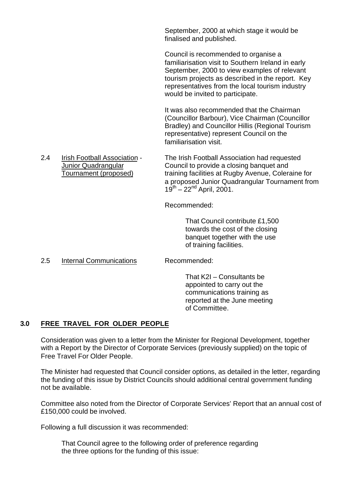September, 2000 at which stage it would be finalised and published.

Council is recommended to organise a familiarisation visit to Southern Ireland in early September, 2000 to view examples of relevant tourism projects as described in the report. Key representatives from the local tourism industry would be invited to participate.

It was also recommended that the Chairman (Councillor Barbour), Vice Chairman (Councillor Bradley) and Councillor Hillis (Regional Tourism representative) represent Council on the familiarisation visit.

2.4 Irish Football Association - The Irish Football Association had requested Junior Quadrangular Council to provide a closing banquet and Tournament (proposed) training facilities at Rugby Avenue, Coleraine for a proposed Junior Quadrangular Tournament from  $19^{th} - 22^{nd}$  April, 2001.

Recommended:

That Council contribute £1,500 towards the cost of the closing banquet together with the use of training facilities.

2.5 Internal Communications Recommended:

That K2I – Consultants be appointed to carry out the communications training as reported at the June meeting of Committee.

# **3.0 FREE TRAVEL FOR OLDER PEOPLE**

Consideration was given to a letter from the Minister for Regional Development, together with a Report by the Director of Corporate Services (previously supplied) on the topic of Free Travel For Older People.

The Minister had requested that Council consider options, as detailed in the letter, regarding the funding of this issue by District Councils should additional central government funding not be available.

Committee also noted from the Director of Corporate Services' Report that an annual cost of £150,000 could be involved.

Following a full discussion it was recommended:

That Council agree to the following order of preference regarding the three options for the funding of this issue: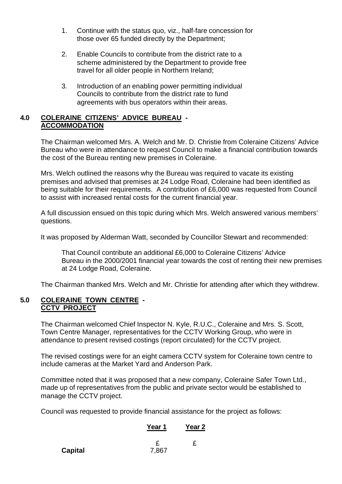- 1. Continue with the status quo, viz., half-fare concession for those over 65 funded directly by the Department;
- 2. Enable Councils to contribute from the district rate to a scheme administered by the Department to provide free travel for all older people in Northern Ireland;
- 3. Introduction of an enabling power permitting individual Councils to contribute from the district rate to fund agreements with bus operators within their areas.

### **4.0 COLERAINE CITIZENS' ADVICE BUREAU - ACCOMMODATION**

The Chairman welcomed Mrs. A. Welch and Mr. D. Christie from Coleraine Citizens' Advice Bureau who were in attendance to request Council to make a financial contribution towards the cost of the Bureau renting new premises in Coleraine.

Mrs. Welch outlined the reasons why the Bureau was required to vacate its existing premises and advised that premises at 24 Lodge Road, Coleraine had been identified as being suitable for their requirements. A contribution of £6,000 was requested from Council to assist with increased rental costs for the current financial year.

A full discussion ensued on this topic during which Mrs. Welch answered various members' questions.

It was proposed by Alderman Watt, seconded by Councillor Stewart and recommended:

That Council contribute an additional £6,000 to Coleraine Citizens' Advice Bureau in the 2000/2001 financial year towards the cost of renting their new premises at 24 Lodge Road, Coleraine.

The Chairman thanked Mrs. Welch and Mr. Christie for attending after which they withdrew.

#### **5.0 COLERAINE TOWN CENTRE - CCTV PROJECT**

The Chairman welcomed Chief Inspector N. Kyle, R.U.C., Coleraine and Mrs. S. Scott, Town Centre Manager, representatives for the CCTV Working Group, who were in attendance to present revised costings (report circulated) for the CCTV project.

The revised costings were for an eight camera CCTV system for Coleraine town centre to include cameras at the Market Yard and Anderson Park.

Committee noted that it was proposed that a new company, Coleraine Safer Town Ltd., made up of representatives from the public and private sector would be established to manage the CCTV project.

Council was requested to provide financial assistance for the project as follows:

# **Year 1 Year 2**

|         |       | £ |
|---------|-------|---|
| Capital | 7,867 |   |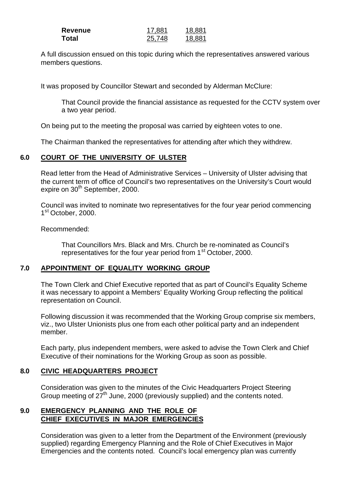| Revenue | 17.881 | 18.881 |
|---------|--------|--------|
| Total   | 25,748 | 18.881 |

A full discussion ensued on this topic during which the representatives answered various members questions.

It was proposed by Councillor Stewart and seconded by Alderman McClure:

That Council provide the financial assistance as requested for the CCTV system over a two year period.

On being put to the meeting the proposal was carried by eighteen votes to one.

The Chairman thanked the representatives for attending after which they withdrew.

# **6.0 COURT OF THE UNIVERSITY OF ULSTER**

Read letter from the Head of Administrative Services – University of Ulster advising that the current term of office of Council's two representatives on the University's Court would expire on  $30<sup>th</sup>$  September, 2000.

Council was invited to nominate two representatives for the four year period commencing 1<sup>st</sup> October, 2000.

Recommended:

That Councillors Mrs. Black and Mrs. Church be re-nominated as Council's representatives for the four year period from 1<sup>st</sup> October, 2000.

# **7.0 APPOINTMENT OF EQUALITY WORKING GROUP**

The Town Clerk and Chief Executive reported that as part of Council's Equality Scheme it was necessary to appoint a Members' Equality Working Group reflecting the political representation on Council.

Following discussion it was recommended that the Working Group comprise six members, viz., two Ulster Unionists plus one from each other political party and an independent member.

Each party, plus independent members, were asked to advise the Town Clerk and Chief Executive of their nominations for the Working Group as soon as possible.

# **8.0 CIVIC HEADQUARTERS PROJECT**

Consideration was given to the minutes of the Civic Headquarters Project Steering Group meeting of  $27<sup>th</sup>$  June, 2000 (previously supplied) and the contents noted.

### **9.0 EMERGENCY PLANNING AND THE ROLE OF CHIEF EXECUTIVES IN MAJOR EMERGENCIES**

Consideration was given to a letter from the Department of the Environment (previously supplied) regarding Emergency Planning and the Role of Chief Executives in Major Emergencies and the contents noted. Council's local emergency plan was currently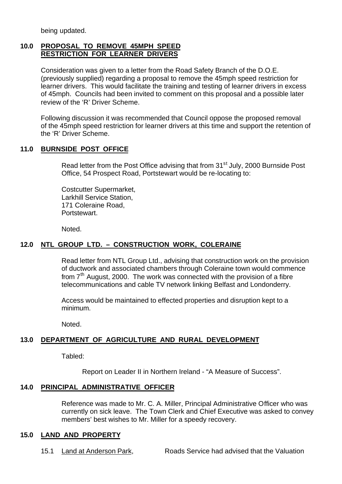being updated.

#### **10.0 PROPOSAL TO REMOVE 45MPH SPEED RESTRICTION FOR LEARNER DRIVERS**

Consideration was given to a letter from the Road Safety Branch of the D.O.E. (previously supplied) regarding a proposal to remove the 45mph speed restriction for learner drivers. This would facilitate the training and testing of learner drivers in excess of 45mph. Councils had been invited to comment on this proposal and a possible later review of the 'R' Driver Scheme.

Following discussion it was recommended that Council oppose the proposed removal of the 45mph speed restriction for learner drivers at this time and support the retention of the 'R' Driver Scheme.

### **11.0 BURNSIDE POST OFFICE**

Read letter from the Post Office advising that from 31<sup>st</sup> July, 2000 Burnside Post Office, 54 Prospect Road, Portstewart would be re-locating to:

Costcutter Supermarket, Larkhill Service Station, 171 Coleraine Road, Portstewart.

Noted.

# **12.0 NTL GROUP LTD. – CONSTRUCTION WORK, COLERAINE**

Read letter from NTL Group Ltd., advising that construction work on the provision of ductwork and associated chambers through Coleraine town would commence from  $7<sup>th</sup>$  August, 2000. The work was connected with the provision of a fibre telecommunications and cable TV network linking Belfast and Londonderry.

Access would be maintained to effected properties and disruption kept to a minimum.

Noted.

# **13.0 DEPARTMENT OF AGRICULTURE AND RURAL DEVELOPMENT**

Tabled:

Report on Leader II in Northern Ireland - "A Measure of Success".

#### **14.0 PRINCIPAL ADMINISTRATIVE OFFICER**

Reference was made to Mr. C. A. Miller, Principal Administrative Officer who was currently on sick leave. The Town Clerk and Chief Executive was asked to convey members' best wishes to Mr. Miller for a speedy recovery.

#### **15.0 LAND AND PROPERTY**

15.1 Land at Anderson Park, Roads Service had advised that the Valuation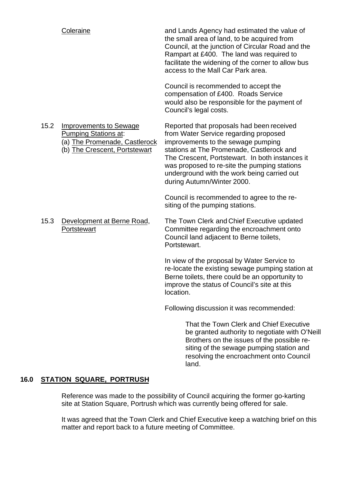|      | Coleraine                                                                                                                      | and Lands Agency had estimated the value of<br>the small area of land, to be acquired from<br>Council, at the junction of Circular Road and the<br>Rampart at £400. The land was required to<br>facilitate the widening of the corner to allow bus<br>access to the Mall Car Park area.                                                               |
|------|--------------------------------------------------------------------------------------------------------------------------------|-------------------------------------------------------------------------------------------------------------------------------------------------------------------------------------------------------------------------------------------------------------------------------------------------------------------------------------------------------|
|      |                                                                                                                                | Council is recommended to accept the<br>compensation of £400. Roads Service<br>would also be responsible for the payment of<br>Council's legal costs.                                                                                                                                                                                                 |
| 15.2 | <b>Improvements to Sewage</b><br><b>Pumping Stations at:</b><br>(a) The Promenade, Castlerock<br>(b) The Crescent, Portstewart | Reported that proposals had been received<br>from Water Service regarding proposed<br>improvements to the sewage pumping<br>stations at The Promenade, Castlerock and<br>The Crescent, Portstewart. In both instances it<br>was proposed to re-site the pumping stations<br>underground with the work being carried out<br>during Autumn/Winter 2000. |
|      |                                                                                                                                | Council is recommended to agree to the re-<br>siting of the pumping stations.                                                                                                                                                                                                                                                                         |
| 15.3 | Development at Berne Road,<br>Portstewart                                                                                      | The Town Clerk and Chief Executive updated<br>Committee regarding the encroachment onto<br>Council land adjacent to Berne toilets,<br>Portstewart.                                                                                                                                                                                                    |
|      |                                                                                                                                | In view of the proposal by Water Service to<br>re-locate the existing sewage pumping station at<br>Berne toilets, there could be an opportunity to<br>improve the status of Council's site at this<br>location.                                                                                                                                       |
|      |                                                                                                                                | Following discussion it was recommended:                                                                                                                                                                                                                                                                                                              |
|      |                                                                                                                                | That the Town Clerk and Chief Executive                                                                                                                                                                                                                                                                                                               |

be granted authority to negotiate with O'Neill Brothers on the issues of the possible resiting of the sewage pumping station and resolving the encroachment onto Council land.

# **16.0 STATION SQUARE, PORTRUSH**

Reference was made to the possibility of Council acquiring the former go-karting site at Station Square, Portrush which was currently being offered for sale.

It was agreed that the Town Clerk and Chief Executive keep a watching brief on this matter and report back to a future meeting of Committee.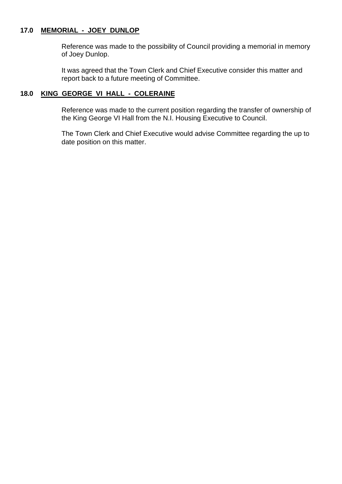## **17.0 MEMORIAL - JOEY DUNLOP**

Reference was made to the possibility of Council providing a memorial in memory of Joey Dunlop.

It was agreed that the Town Clerk and Chief Executive consider this matter and report back to a future meeting of Committee.

#### **18.0 KING GEORGE VI HALL - COLERAINE**

Reference was made to the current position regarding the transfer of ownership of the King George VI Hall from the N.I. Housing Executive to Council.

The Town Clerk and Chief Executive would advise Committee regarding the up to date position on this matter.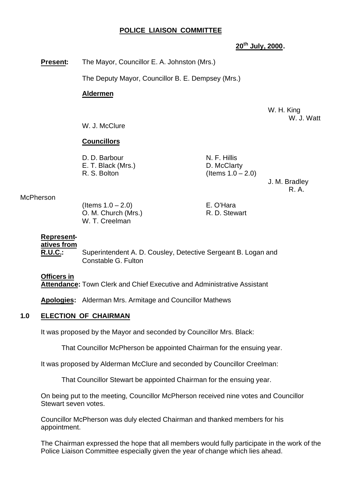#### **POLICE LIAISON COMMITTEE**

#### **20th July, 2000.**

**Present:** The Mayor, Councillor E. A. Johnston (Mrs.)

The Deputy Mayor, Councillor B. E. Dempsey (Mrs.)

#### **Aldermen**

W. H. King W. J. Watt

W. J. McClure

#### **Councillors**

| D. D. Barbour      | N. F. Hillis         |
|--------------------|----------------------|
| E. T. Black (Mrs.) | D. McClarty          |
| R. S. Bolton       | (Items $1.0 - 2.0$ ) |

J. M. Bradley R. A.

#### McPherson

 $($ ltems  $1.0 - 2.0)$  E. O'Hara O. M. Church (Mrs.) R. D. Stewart W. T. Creelman

#### **Represent-**

#### **atives from**

**R.U.C.:** Superintendent A. D. Cousley, Detective Sergeant B. Logan and Constable G. Fulton

#### **Officers in**

**Attendance:** Town Clerk and Chief Executive and Administrative Assistant

**Apologies:** Alderman Mrs. Armitage and Councillor Mathews

#### **1.0 ELECTION OF CHAIRMAN**

It was proposed by the Mayor and seconded by Councillor Mrs. Black:

That Councillor McPherson be appointed Chairman for the ensuing year.

It was proposed by Alderman McClure and seconded by Councillor Creelman:

That Councillor Stewart be appointed Chairman for the ensuing year.

On being put to the meeting, Councillor McPherson received nine votes and Councillor Stewart seven votes.

Councillor McPherson was duly elected Chairman and thanked members for his appointment.

The Chairman expressed the hope that all members would fully participate in the work of the Police Liaison Committee especially given the year of change which lies ahead.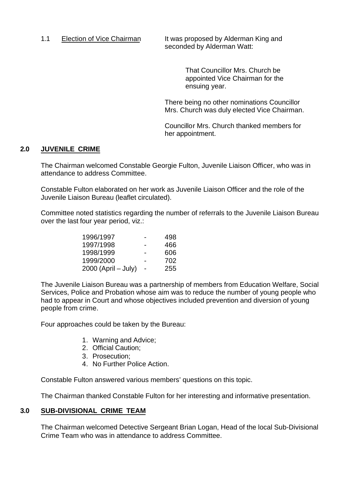1.1 Election of Vice Chairman It was proposed by Alderman King and seconded by Alderman Watt:

> That Councillor Mrs. Church be appointed Vice Chairman for the ensuing year.

There being no other nominations Councillor Mrs. Church was duly elected Vice Chairman.

Councillor Mrs. Church thanked members for her appointment.

#### **2.0 JUVENILE CRIME**

The Chairman welcomed Constable Georgie Fulton, Juvenile Liaison Officer, who was in attendance to address Committee.

Constable Fulton elaborated on her work as Juvenile Liaison Officer and the role of the Juvenile Liaison Bureau (leaflet circulated).

Committee noted statistics regarding the number of referrals to the Juvenile Liaison Bureau over the last four year period, viz.:

| 1996/1997             |   | 498 |
|-----------------------|---|-----|
| 1997/1998             | - | 466 |
| 1998/1999             |   | 606 |
| 1999/2000             |   | 702 |
| $2000$ (April – July) |   | 255 |

The Juvenile Liaison Bureau was a partnership of members from Education Welfare, Social Services, Police and Probation whose aim was to reduce the number of young people who had to appear in Court and whose objectives included prevention and diversion of young people from crime.

Four approaches could be taken by the Bureau:

- 1. Warning and Advice;
- 2. Official Caution;
- 3. Prosecution;
- 4. No Further Police Action.

Constable Fulton answered various members' questions on this topic.

The Chairman thanked Constable Fulton for her interesting and informative presentation.

#### **3.0 SUB-DIVISIONAL CRIME TEAM**

The Chairman welcomed Detective Sergeant Brian Logan, Head of the local Sub-Divisional Crime Team who was in attendance to address Committee.